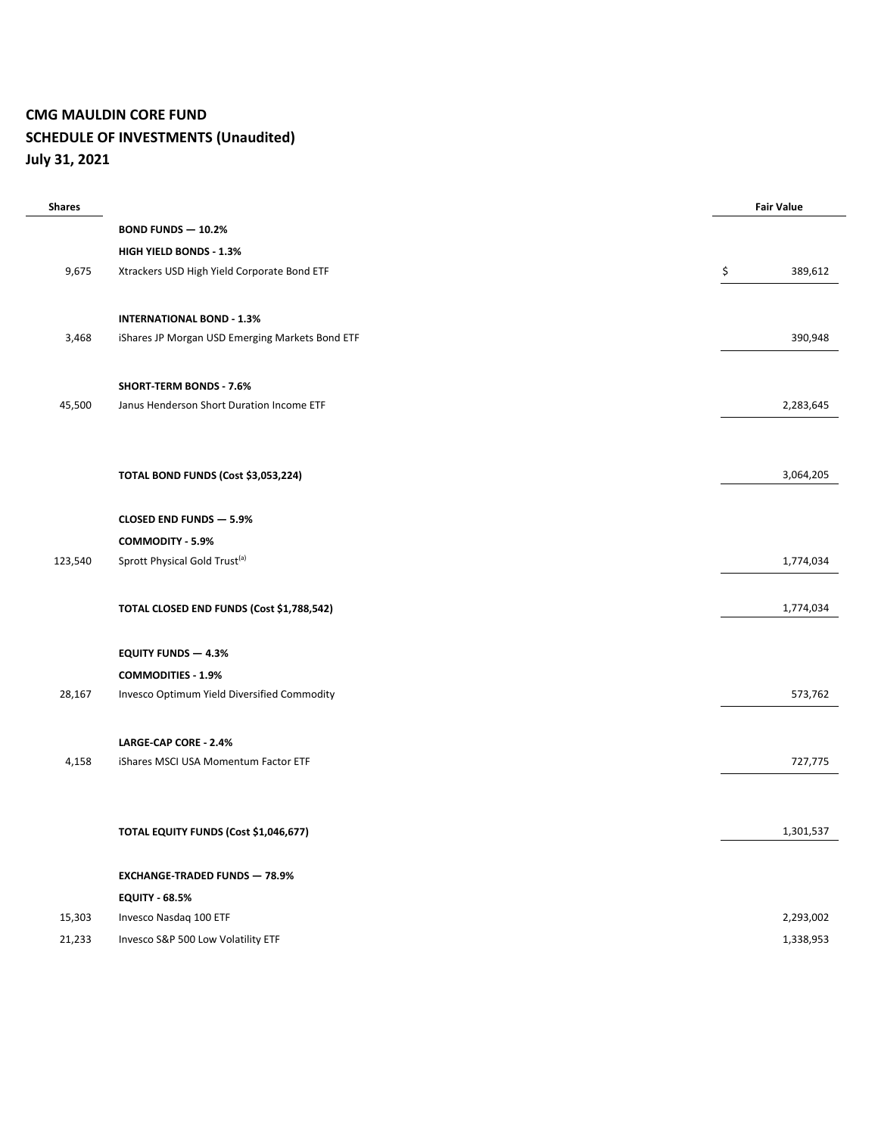# **CMG MAULDIN CORE FUND SCHEDULE OF INVESTMENTS (Unaudited) July 31, 2021**

| <b>Shares</b> |                                                 | <b>Fair Value</b> |
|---------------|-------------------------------------------------|-------------------|
|               | <b>BOND FUNDS - 10.2%</b>                       |                   |
|               | HIGH YIELD BONDS - 1.3%                         |                   |
| 9,675         | Xtrackers USD High Yield Corporate Bond ETF     | \$<br>389,612     |
|               |                                                 |                   |
|               | <b>INTERNATIONAL BOND - 1.3%</b>                |                   |
| 3,468         | iShares JP Morgan USD Emerging Markets Bond ETF | 390,948           |
|               |                                                 |                   |
|               | <b>SHORT-TERM BONDS - 7.6%</b>                  |                   |
| 45,500        | Janus Henderson Short Duration Income ETF       | 2,283,645         |
|               |                                                 |                   |
|               |                                                 |                   |
|               | TOTAL BOND FUNDS (Cost \$3,053,224)             | 3,064,205         |
|               |                                                 |                   |
|               | <b>CLOSED END FUNDS - 5.9%</b>                  |                   |
|               | COMMODITY - 5.9%                                |                   |
| 123,540       | Sprott Physical Gold Trust <sup>(a)</sup>       | 1,774,034         |
|               |                                                 |                   |
|               | TOTAL CLOSED END FUNDS (Cost \$1,788,542)       | 1,774,034         |
|               |                                                 |                   |
|               | <b>EQUITY FUNDS - 4.3%</b>                      |                   |
|               | <b>COMMODITIES - 1.9%</b>                       |                   |
| 28,167        | Invesco Optimum Yield Diversified Commodity     | 573,762           |
|               |                                                 |                   |
|               | LARGE-CAP CORE - 2.4%                           |                   |
| 4,158         | iShares MSCI USA Momentum Factor ETF            | 727,775           |
|               |                                                 |                   |
|               |                                                 |                   |
|               | TOTAL EQUITY FUNDS (Cost \$1,046,677)           | 1,301,537         |
|               |                                                 |                   |
|               | <b>EXCHANGE-TRADED FUNDS - 78.9%</b>            |                   |
|               | <b>EQUITY - 68.5%</b>                           |                   |
| 15,303        | Invesco Nasdaq 100 ETF                          | 2,293,002         |
| 21,233        | Invesco S&P 500 Low Volatility ETF              | 1,338,953         |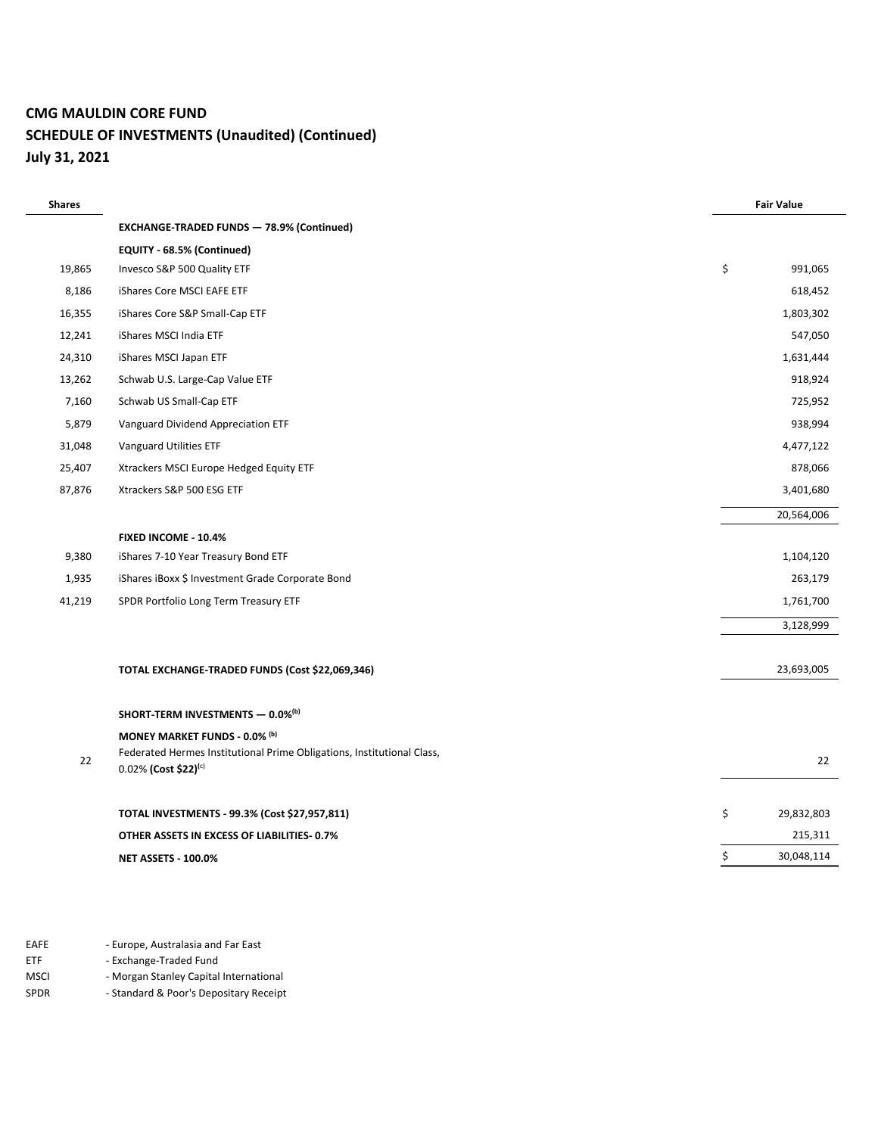#### **CMG MAULDIN CORE FUND**

# **SCHEDULE OF INVESTMENTS (Unaudited) (Continued) July 31, 2021**

| <b>Shares</b> |                                                                        | <b>Fair Value</b> |            |
|---------------|------------------------------------------------------------------------|-------------------|------------|
|               | <b>EXCHANGE-TRADED FUNDS - 78.9% (Continued)</b>                       |                   |            |
|               | EQUITY - 68.5% (Continued)                                             |                   |            |
| 19,865        | Invesco S&P 500 Quality ETF                                            | \$                | 991,065    |
| 8,186         | iShares Core MSCI EAFE ETF                                             |                   | 618,452    |
| 16,355        | iShares Core S&P Small-Cap ETF                                         |                   | 1,803,302  |
| 12,241        | iShares MSCI India ETF                                                 |                   | 547,050    |
| 24,310        | iShares MSCI Japan ETF                                                 |                   | 1,631,444  |
| 13,262        | Schwab U.S. Large-Cap Value ETF                                        |                   | 918,924    |
| 7,160         | Schwab US Small-Cap ETF                                                |                   | 725,952    |
| 5,879         | Vanguard Dividend Appreciation ETF                                     |                   | 938,994    |
| 31,048        | Vanguard Utilities ETF                                                 |                   | 4,477,122  |
| 25,407        | Xtrackers MSCI Europe Hedged Equity ETF                                |                   | 878,066    |
| 87,876        | Xtrackers S&P 500 ESG ETF                                              |                   | 3,401,680  |
|               |                                                                        |                   | 20,564,006 |
|               | <b>FIXED INCOME - 10.4%</b>                                            |                   |            |
| 9,380         | iShares 7-10 Year Treasury Bond ETF                                    |                   | 1,104,120  |
| 1,935         | iShares iBoxx \$ Investment Grade Corporate Bond                       |                   | 263,179    |
| 41,219        | SPDR Portfolio Long Term Treasury ETF                                  |                   | 1,761,700  |
|               |                                                                        |                   | 3,128,999  |
|               |                                                                        |                   |            |
|               | TOTAL EXCHANGE-TRADED FUNDS (Cost \$22,069,346)                        |                   | 23,693,005 |
|               |                                                                        |                   |            |
|               | SHORT-TERM INVESTMENTS - 0.0% <sup>(b)</sup>                           |                   |            |
|               | MONEY MARKET FUNDS - 0.0% (b)                                          |                   |            |
| 22            | Federated Hermes Institutional Prime Obligations, Institutional Class, |                   | 22         |
|               | $0.02\%$ (Cost \$22) <sup>(c)</sup>                                    |                   |            |
|               | TOTAL INVESTMENTS - 99.3% (Cost \$27,957,811)                          | \$                | 29,832,803 |
|               | OTHER ASSETS IN EXCESS OF LIABILITIES 0.7%                             |                   | 215,311    |
|               | <b>NET ASSETS - 100.0%</b>                                             | \$                | 30,048,114 |
|               |                                                                        |                   |            |

EAFE - Europe, Australasia and Far East

ETF - Exchange-Traded Fund

MSCI - Morgan Stanley Capital International<br>SPDR - Standard & Poor's Depositary Receipt

- Standard & Poor's Depositary Receipt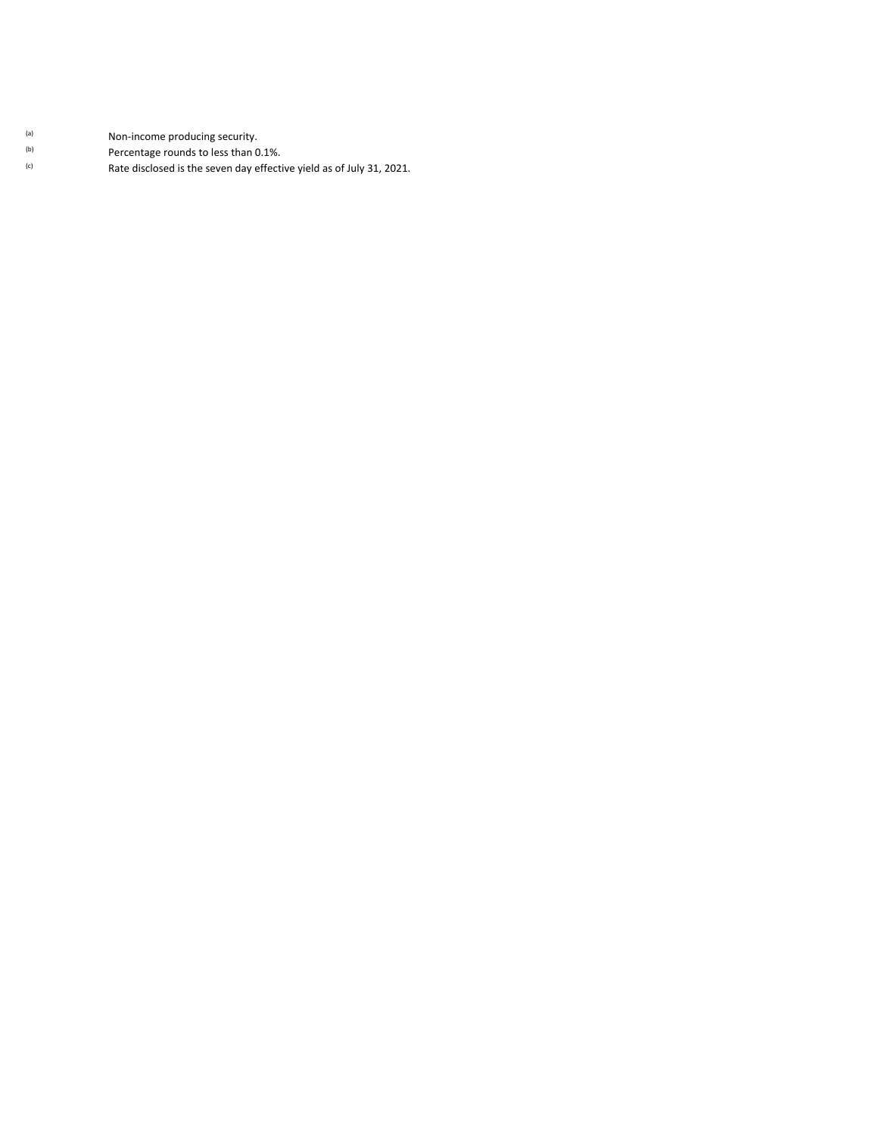- (a) Mon-income producing security.
- $\frac{1}{10}$  Percentage rounds to less than 0.1%.<br>
Rate disclosed is the seven day effection
	- Rate disclosed is the seven day effective yield as of July 31, 2021.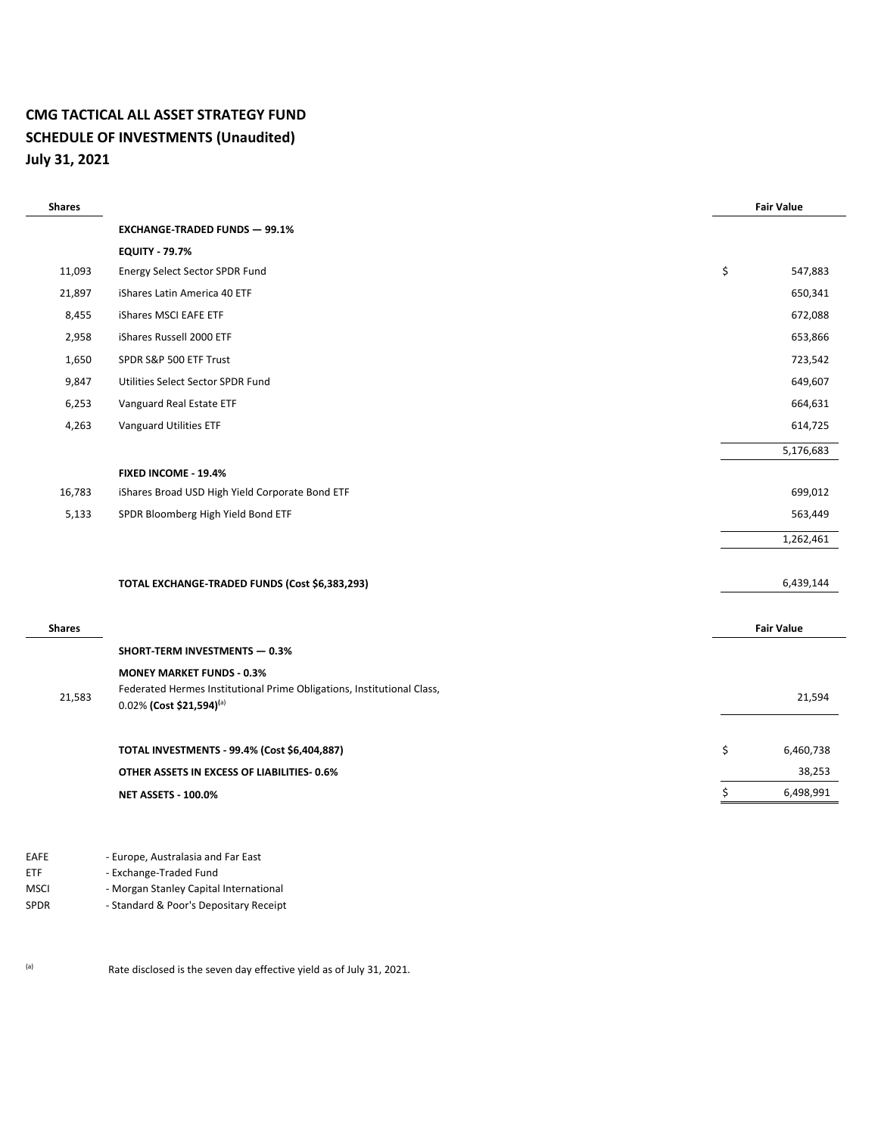## **CMG TACTICAL ALL ASSET STRATEGY FUND SCHEDULE OF INVESTMENTS (Unaudited) July 31, 2021**

| <b>Shares</b> |                                                                                                    | <b>Fair Value</b> |  |
|---------------|----------------------------------------------------------------------------------------------------|-------------------|--|
|               | <b>EXCHANGE-TRADED FUNDS - 99.1%</b>                                                               |                   |  |
|               | <b>EQUITY - 79.7%</b>                                                                              |                   |  |
| 11,093        | Energy Select Sector SPDR Fund                                                                     | \$<br>547,883     |  |
| 21,897        | iShares Latin America 40 ETF                                                                       | 650,341           |  |
| 8,455         | iShares MSCI EAFE ETF                                                                              | 672,088           |  |
| 2,958         | iShares Russell 2000 ETF                                                                           | 653,866           |  |
| 1,650         | SPDR S&P 500 ETF Trust                                                                             | 723,542           |  |
| 9,847         | Utilities Select Sector SPDR Fund                                                                  | 649,607           |  |
| 6,253         | Vanguard Real Estate ETF                                                                           | 664,631           |  |
| 4,263         | Vanguard Utilities ETF                                                                             | 614,725           |  |
|               |                                                                                                    | 5,176,683         |  |
|               | FIXED INCOME - 19.4%                                                                               |                   |  |
| 16,783        | iShares Broad USD High Yield Corporate Bond ETF                                                    | 699,012           |  |
| 5,133         | SPDR Bloomberg High Yield Bond ETF                                                                 | 563,449           |  |
|               |                                                                                                    | 1,262,461         |  |
|               |                                                                                                    |                   |  |
|               | TOTAL EXCHANGE-TRADED FUNDS (Cost \$6,383,293)                                                     | 6,439,144         |  |
|               |                                                                                                    |                   |  |
| <b>Shares</b> |                                                                                                    | <b>Fair Value</b> |  |
|               | <b>SHORT-TERM INVESTMENTS - 0.3%</b>                                                               |                   |  |
|               | <b>MONEY MARKET FUNDS - 0.3%</b>                                                                   |                   |  |
| 21,583        | Federated Hermes Institutional Prime Obligations, Institutional Class,<br>0.02% (Cost \$21,594)(a) | 21,594            |  |
|               |                                                                                                    |                   |  |
|               | TOTAL INVESTMENTS - 99.4% (Cost \$6,404,887)                                                       | \$<br>6,460,738   |  |
|               | OTHER ASSETS IN EXCESS OF LIABILITIES-0.6%                                                         | 38,253            |  |
|               | <b>NET ASSETS - 100.0%</b>                                                                         | \$<br>6,498,991   |  |
|               |                                                                                                    |                   |  |

- EAFE Europe, Australasia and Far East
- ETF Exchange-Traded Fund
- MSCI Morgan Stanley Capital International
- SPDR Standard & Poor's Depositary Receipt

(a) Rate disclosed is the seven day effective yield as of July 31, 2021.